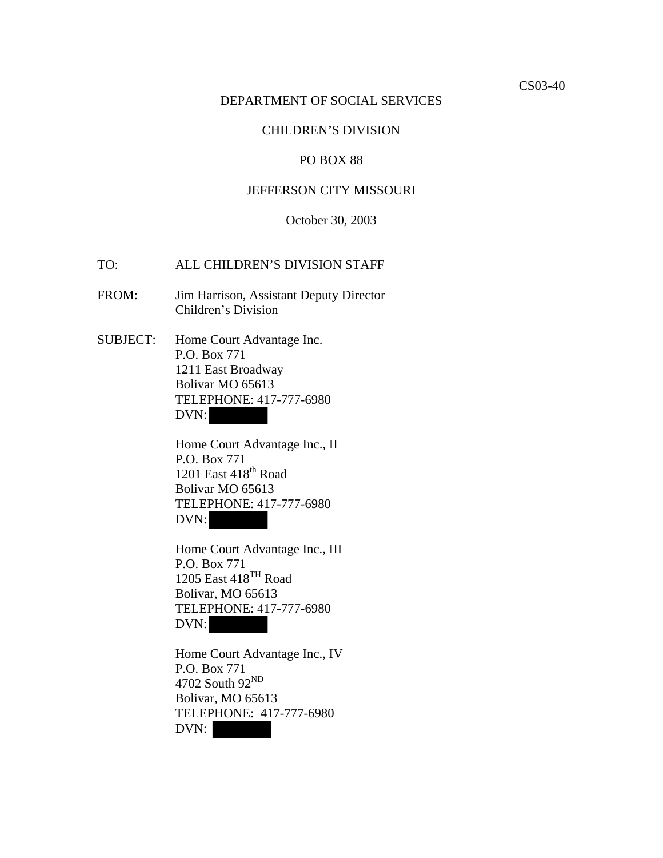#### DEPARTMENT OF SOCIAL SERVICES

# CHILDREN'S DIVISION

## PO BOX 88

# JEFFERSON CITY MISSOURI

#### October 30, 2003

## TO: ALL CHILDREN'S DIVISION STAFF

FROM: Jim Harrison, Assistant Deputy Director Children's Division

SUBJECT: Home Court Advantage Inc. P.O. Box 771 1211 East Broadway Bolivar MO 65613 TELEPHONE: 417-777-6980 DVN:

> Home Court Advantage Inc., II P.O. Box 771 1201 East  $418^{\text{th}}$  Road Bolivar MO 65613 TELEPHONE: 417-777-6980 DVN:

 Home Court Advantage Inc., III P.O. Box 771 1205 East 418<sup>TH</sup> Road Bolivar, MO 65613 TELEPHONE: 417-777-6980 DVN:

 Home Court Advantage Inc., IV P.O. Box 771 4702 South 92<sup>ND</sup> Bolivar, MO 65613 TELEPHONE: 417-777-6980 DVN: